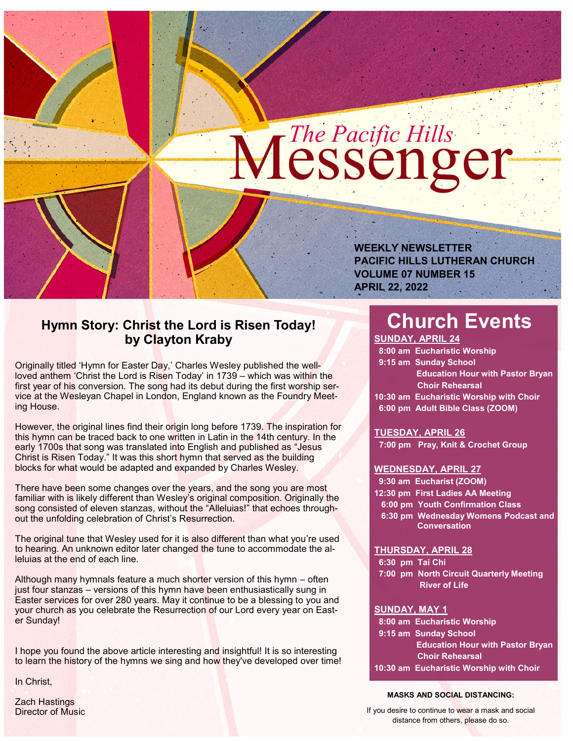# Messenger *The Pacific Hills*

**WEEKLY NEWSLETTER PACIFIC HILLS LUTHERAN CHURCH VOLUME 07 NUMBER 15 APRIL 22, 2022**

# **Hymn Story: Christ the Lord is Risen Today! by Clayton Kraby**

Originally titled 'Hymn for Easter Day,' Charles Wesley published the wellloved anthem 'Christ the Lord is Risen Today' in 1739 – which was within the first year of his conversion. The song had its debut during the first worship service at the Wesleyan Chapel in London, England known as the Foundry Meeting House.

However, the original lines find their origin long before 1739. The inspiration for this hymn can be traced back to one written in Latin in the 14th century. In the early 1700s that song was translated into English and published as "Jesus Christ is Risen Today." It was this short hymn that served as the building blocks for what would be adapted and expanded by Charles Wesley.

There have been some changes over the years, and the song you are most familiar with is likely different than Wesley's original composition. Originally the song consisted of eleven stanzas, without the "Alleluias!" that echoes throughout the unfolding celebration of Christ's Resurrection.

The original tune that Wesley used for it is also different than what you're used to hearing. An unknown editor later changed the tune to accommodate the alleluias at the end of each line.

Although many hymnals feature a much shorter version of this hymn – often just four stanzas – versions of this hymn have been enthusiastically sung in Easter services for over 280 years. May it continue to be a blessing to you and your church as you celebrate the Resurrection of our Lord every year on Easter Sunday!

I hope you found the above article interesting and insightful! It is so interesting to learn the history of the hymns we sing and how they've developed over time!

In Christ,

Zach Hastings Director of Music

# **Church Events**

**SUNDAY, APRIL 24 8:00 am Eucharistic Worship 9:15 am Sunday School Education Hour with Pastor Bryan Choir Rehearsal 10:30 am Eucharistic Worship with Choir 6:00 pm Adult Bible Class (ZOOM)**

**TUESDAY, APRIL 26**

**7:00 pm Pray, Knit & Crochet Group**

# **WEDNESDAY, APRIL 27**

 **9:30 am Eucharist (ZOOM) 12:30 pm First Ladies AA Meeting 6:00 pm Youth Confirmation Class 6:30 pm Wednesday Womens Podcast and Conversation**

#### **THURSDAY, APRIL 28**

 **6:30 pm Tai Chi 7:00 pm North Circuit Quarterly Meeting River of Life**

#### **SUNDAY, MAY 1**

 **8:00 am Eucharistic Worship 9:15 am Sunday School Education Hour with Pastor Bryan Choir Rehearsal 10:30 am Eucharistic Worship with Choir**

#### **MASKS AND SOCIAL DISTANCING:**

If you desire to continue to wear a mask and social distance from others, please do so.